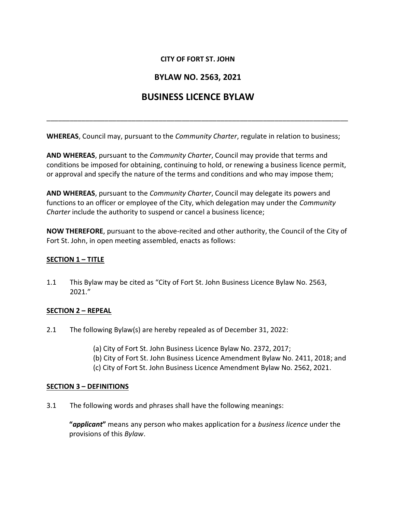## **CITY OF FORT ST. JOHN**

# **BYLAW NO. 2563, 2021**

# **BUSINESS LICENCE BYLAW**

\_\_\_\_\_\_\_\_\_\_\_\_\_\_\_\_\_\_\_\_\_\_\_\_\_\_\_\_\_\_\_\_\_\_\_\_\_\_\_\_\_\_\_\_\_\_\_\_\_\_\_\_\_\_\_\_\_\_\_\_\_\_\_\_\_\_\_\_\_\_\_\_\_\_\_\_\_\_

**WHEREAS**, Council may, pursuant to the *Community Charter*, regulate in relation to business;

**AND WHEREAS**, pursuant to the *Community Charter*, Council may provide that terms and conditions be imposed for obtaining, continuing to hold, or renewing a business licence permit, or approval and specify the nature of the terms and conditions and who may impose them;

**AND WHEREAS**, pursuant to the *Community Charter*, Council may delegate its powers and functions to an officer or employee of the City, which delegation may under the *Community Charter* include the authority to suspend or cancel a business licence;

**NOW THEREFORE**, pursuant to the above-recited and other authority, the Council of the City of Fort St. John, in open meeting assembled, enacts as follows:

#### **SECTION 1 – TITLE**

1.1 This Bylaw may be cited as "City of Fort St. John Business Licence Bylaw No. 2563, 2021."

#### **SECTION 2 – REPEAL**

- 2.1 The following Bylaw(s) are hereby repealed as of December 31, 2022:
	- (a) City of Fort St. John Business Licence Bylaw No. 2372, 2017;
	- (b) City of Fort St. John Business Licence Amendment Bylaw No. 2411, 2018; and
	- (c) City of Fort St. John Business Licence Amendment Bylaw No. 2562, 2021.

#### **SECTION 3 – DEFINITIONS**

3.1 The following words and phrases shall have the following meanings:

**"***applicant***"** means any person who makes application for a *business licence* under the provisions of this *Bylaw*.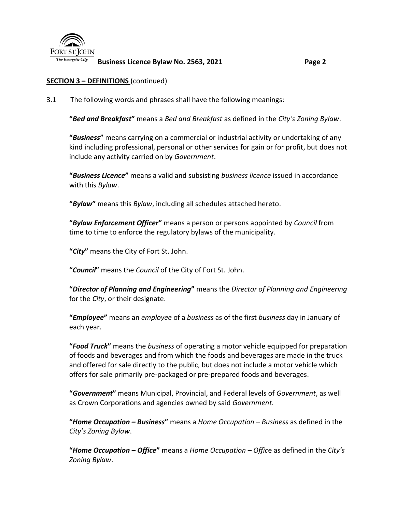

**Business Licence Bylaw No. 2563, 2021 Page 2**

## **SECTION 3 – DEFINITIONS** (continued)

3.1 The following words and phrases shall have the following meanings:

**"***Bed and Breakfast***"** means a *Bed and Breakfast* as defined in the *City's Zoning Bylaw*.

**"***Business***"** means carrying on a commercial or industrial activity or undertaking of any kind including professional, personal or other services for gain or for profit, but does not include any activity carried on by *Government*.

**"***Business Licence***"** means a valid and subsisting *business licence* issued in accordance with this *Bylaw*.

**"***Bylaw***"** means this *Bylaw*, including all schedules attached hereto.

**"***Bylaw Enforcement Officer***"** means a person or persons appointed by *Council* from time to time to enforce the regulatory bylaws of the municipality.

**"***City***"** means the City of Fort St. John.

**"***Council***"** means the *Council* of the City of Fort St. John.

**"***Director of Planning and Engineering***"** means the *Director of Planning and Engineering* for the *City*, or their designate.

**"***Employee***"** means an *employee* of a *business* as of the first *business* day in January of each year.

**"***Food Truck***"** means the *business* of operating a motor vehicle equipped for preparation of foods and beverages and from which the foods and beverages are made in the truck and offered for sale directly to the public, but does not include a motor vehicle which offers for sale primarily pre-packaged or pre-prepared foods and beverages.

**"***Government***"** means Municipal, Provincial, and Federal levels of *Government*, as well as Crown Corporations and agencies owned by said *Government*.

**"***Home Occupation – Business***"** means a *Home Occupation* – *Business* as defined in the *City's Zoning Bylaw*.

**"***Home Occupation – Office***"** means a *Home Occupation – Offic*e as defined in the *City's Zoning Bylaw*.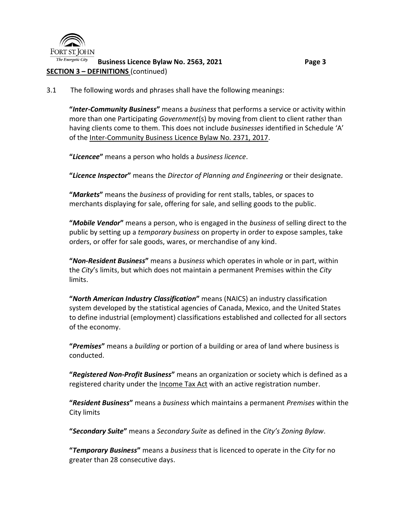

#### The Energetic City **Business Licence Bylaw No. 2563, 2021 Page 3 SECTION 3 – DEFINITIONS** (continued)

3.1 The following words and phrases shall have the following meanings:

**"***Inter-Community Business***"** means a *business* that performs a service or activity within more than one Participating *Government*(s) by moving from client to client rather than having clients come to them. This does not include *businesses* identified in Schedule 'A' of the Inter-Community Business Licence Bylaw No. 2371, 2017.

**"***Licencee***"** means a person who holds a *business licence*.

**"***Licence Inspector***"** means the *Director of Planning and Engineering* or their designate.

**"***Markets***"** means the *business* of providing for rent stalls, tables, or spaces to merchants displaying for sale, offering for sale, and selling goods to the public.

**"***Mobile Vendor***"** means a person, who is engaged in the *business* of selling direct to the public by setting up a *temporary business* on property in order to expose samples, take orders, or offer for sale goods, wares, or merchandise of any kind.

**"***Non-Resident Business***"** means a *business* which operates in whole or in part, within the *City*'s limits, but which does not maintain a permanent Premises within the *City* limits.

**"***North American Industry Classification***"** means (NAICS) an industry classification system developed by the statistical agencies of Canada, Mexico, and the United States to define industrial (employment) classifications established and collected for all sectors of the economy.

**"***Premises***"** means a *building* or portion of a building or area of land where business is conducted.

**"***Registered Non-Profit Business***"** means an organization or society which is defined as a registered charity under the Income Tax Act with an active registration number.

**"***Resident Business***"** means a *business* which maintains a permanent *Premises* within the City limits

**"***Secondary Suite***"** means a *Secondary Suite* as defined in the *City's Zoning Bylaw*.

**"***Temporary Business***"** means a *business* that is licenced to operate in the *City* for no greater than 28 consecutive days.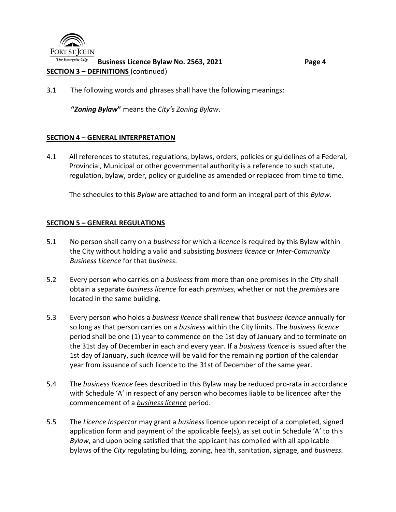

#### The Energetic City **Business Licence Bylaw No. 2563, 2021 Page 4 SECTION 3 – DEFINITIONS** (continued)

3.1 The following words and phrases shall have the following meanings:

**"***Zoning Bylaw***"** means the *City's Zoning Bylaw*.

#### **SECTION 4 – GENERAL INTERPRETATION**

4.1 All references to statutes, regulations, bylaws, orders, policies or guidelines of a Federal, Provincial, Municipal or other governmental authority is a reference to such statute, regulation, bylaw, order, policy or guideline as amended or replaced from time to time.

The schedules to this *Bylaw* are attached to and form an integral part of this *Bylaw*.

#### **SECTION 5 – GENERAL REGULATIONS**

- 5.1 No person shall carry on a *business* for which a *licence* is required by this Bylaw within the City without holding a valid and subsisting *business licence* or *Inter-Community Business Licence* for that *business*.
- 5.2 Every person who carries on a *business* from more than one premises in the *City* shall obtain a separate *business licence* for each *premises*, whether or not the *premises* are located in the same building.
- 5.3 Every person who holds a *business licence* shall renew that *business licence* annually for so long as that person carries on a *business* within the City limits. The *business licence* period shall be one (1) year to commence on the 1st day of January and to terminate on the 31st day of December in each and every year. If a *business licence* is issued after the 1st day of January, such *licence* will be valid for the remaining portion of the calendar year from issuance of such licence to the 31st of December of the same year.
- 5.4 The *business licence* fees described in this Bylaw may be reduced pro-rata in accordance with Schedule 'A' in respect of any person who becomes liable to be licenced after the commencement of a *business licence* period.
- 5.5 The *Licence Inspector* may grant a *business* licence upon receipt of a completed, signed application form and payment of the applicable fee(s), as set out in Schedule 'A' to this *Bylaw*, and upon being satisfied that the applicant has complied with all applicable bylaws of the *City* regulating building, zoning, health, sanitation, signage, and *business*.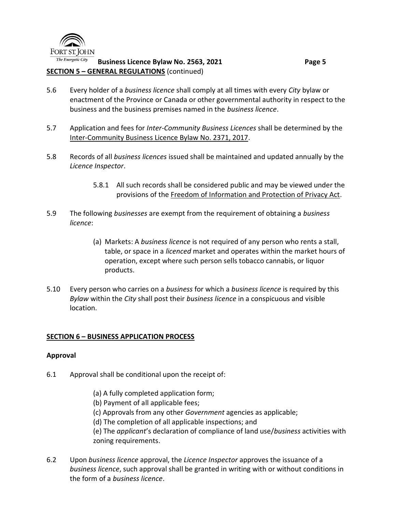

#### The Energetic City **Business Licence Bylaw No. 2563, 2021 Page 5 SECTION 5 – GENERAL REGULATIONS** (continued)

- 5.6 Every holder of a *business licence* shall comply at all times with every *City* bylaw or enactment of the Province or Canada or other governmental authority in respect to the business and the business premises named in the *business licence*.
- 5.7 Application and fees for *Inter-Community Business Licences* shall be determined by the Inter-Community Business Licence Bylaw No. 2371, 2017.
- 5.8 Records of all *business licences* issued shall be maintained and updated annually by the *Licence Inspector*.
	- 5.8.1 All such records shall be considered public and may be viewed under the provisions of the Freedom of Information and Protection of Privacy Act.
- 5.9 The following *businesses* are exempt from the requirement of obtaining a *business licence*:
	- (a) Markets: A *business licence* is not required of any person who rents a stall, table, or space in a *licenced* market and operates within the market hours of operation, except where such person sells tobacco cannabis, or liquor products.
- 5.10 Every person who carries on a *business* for which a *business licence* is required by this *Bylaw* within the *City* shall post their *business licence* in a conspicuous and visible location.

## **SECTION 6 – BUSINESS APPLICATION PROCESS**

#### **Approval**

- 6.1 Approval shall be conditional upon the receipt of:
	- (a) A fully completed application form;
	- (b) Payment of all applicable fees;
	- (c) Approvals from any other *Government* agencies as applicable;
	- (d) The completion of all applicable inspections; and

6.2 Upon *business licence* approval, the *Licence Inspector* approves the issuance of a *business licence*, such approval shall be granted in writing with or without conditions in the form of a *business licence*.

<sup>(</sup>e) The *applicant*'s declaration of compliance of land use/*business* activities with zoning requirements.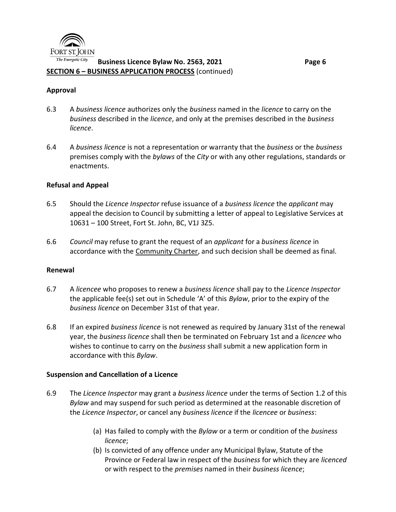

#### **Business Licence Bylaw No. 2563, 2021 Page 6 SECTION 6 – BUSINESS APPLICATION PROCESS** (continued)

#### **Approval**

- 6.3 A *business licence* authorizes only the *business* named in the *licence* to carry on the *business* described in the *licence*, and only at the premises described in the *business licence*.
- 6.4 A *business licence* is not a representation or warranty that the *business* or the *business* premises comply with the *bylaws* of the *City* or with any other regulations, standards or enactments.

#### **Refusal and Appeal**

- 6.5 Should the *Licence Inspector* refuse issuance of a *business licence* the *applicant* may appeal the decision to Council by submitting a letter of appeal to Legislative Services at 10631 – 100 Street, Fort St. John, BC, V1J 3Z5.
- 6.6 *Council* may refuse to grant the request of an *applicant* for a *business licence* in accordance with the Community Charter, and such decision shall be deemed as final.

#### **Renewal**

- 6.7 A *licencee* who proposes to renew a *business licence* shall pay to the *Licence Inspector* the applicable fee(s) set out in Schedule 'A' of this *Bylaw*, prior to the expiry of the *business licence* on December 31st of that year.
- 6.8 If an expired *business licence* is not renewed as required by January 31st of the renewal year, the *business licence* shall then be terminated on February 1st and a *licencee* who wishes to continue to carry on the *business* shall submit a new application form in accordance with this *Bylaw*.

#### **Suspension and Cancellation of a Licence**

- 6.9 The *Licence Inspector* may grant a *business licence* under the terms of Section 1.2 of this *Bylaw* and may suspend for such period as determined at the reasonable discretion of the *Licence Inspector*, or cancel any *business licence* if the *licencee* or *business*:
	- (a) Has failed to comply with the *Bylaw* or a term or condition of the *business licence*;
	- (b) Is convicted of any offence under any Municipal Bylaw, Statute of the Province or Federal law in respect of the *business* for which they are *licenced* or with respect to the *premises* named in their *business licence*;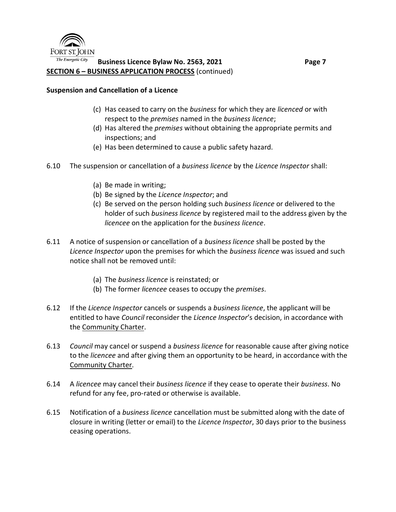

### **Business Licence Bylaw No. 2563, 2021 Page 7 SECTION 6 – BUSINESS APPLICATION PROCESS** (continued)

### **Suspension and Cancellation of a Licence**

- (c) Has ceased to carry on the *business* for which they are *licenced* or with respect to the *premises* named in the *business licence*;
- (d) Has altered the *premises* without obtaining the appropriate permits and inspections; and
- (e) Has been determined to cause a public safety hazard.
- 6.10 The suspension or cancellation of a *business licence* by the *Licence Inspector* shall:
	- (a) Be made in writing;
	- (b) Be signed by the *Licence Inspector*; and
	- (c) Be served on the person holding such *business licence* or delivered to the holder of such *business licence* by registered mail to the address given by the *licencee* on the application for the *business licence*.
- 6.11 A notice of suspension or cancellation of a *business licence* shall be posted by the *Licence Inspector* upon the premises for which the *business licence* was issued and such notice shall not be removed until:
	- (a) The *business licence* is reinstated; or
	- (b) The former *licencee* ceases to occupy the *premises*.
- 6.12 If the *Licence Inspector* cancels or suspends a *business licence*, the applicant will be entitled to have *Council* reconsider the *Licence Inspector*'s decision, in accordance with the Community Charter.
- 6.13 *Council* may cancel or suspend a *business licence* for reasonable cause after giving notice to the *licencee* and after giving them an opportunity to be heard, in accordance with the Community Charter.
- 6.14 A *licencee* may cancel their *business licence* if they cease to operate their *business*. No refund for any fee, pro-rated or otherwise is available.
- 6.15 Notification of a *business licence* cancellation must be submitted along with the date of closure in writing (letter or email) to the *Licence Inspector*, 30 days prior to the business ceasing operations.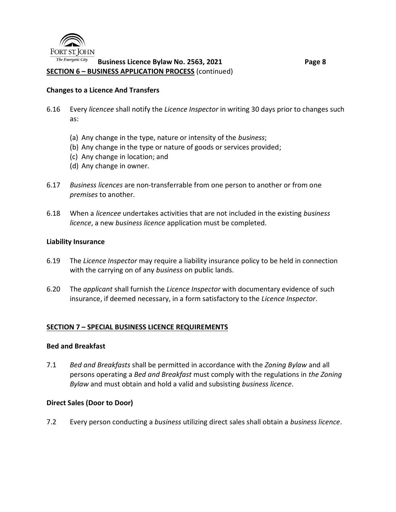

## **Business Licence Bylaw No. 2563, 2021 Page 8 SECTION 6 – BUSINESS APPLICATION PROCESS** (continued)

#### **Changes to a Licence And Transfers**

- 6.16 Every *licencee* shall notify the *Licence Inspector* in writing 30 days prior to changes such as:
	- (a) Any change in the type, nature or intensity of the *business*;
	- (b) Any change in the type or nature of goods or services provided;
	- (c) Any change in location; and
	- (d) Any change in owner.
- 6.17 *Business licences* are non-transferrable from one person to another or from one *premises* to another.
- 6.18 When a *licencee* undertakes activities that are not included in the existing *business licence*, a new *business licence* application must be completed.

#### **Liability Insurance**

- 6.19 The *Licence Inspector* may require a liability insurance policy to be held in connection with the carrying on of any *business* on public lands.
- 6.20 The *applicant* shall furnish the *Licence Inspector* with documentary evidence of such insurance, if deemed necessary, in a form satisfactory to the *Licence Inspector*.

#### **SECTION 7 – SPECIAL BUSINESS LICENCE REQUIREMENTS**

#### **Bed and Breakfast**

7.1 *Bed and Breakfasts* shall be permitted in accordance with the *Zoning Bylaw* and all persons operating a *Bed and Breakfast* must comply with the regulations in *the Zoning Bylaw* and must obtain and hold a valid and subsisting *business licence*.

#### **Direct Sales (Door to Door)**

7.2 Every person conducting a *business* utilizing direct sales shall obtain a *business licence*.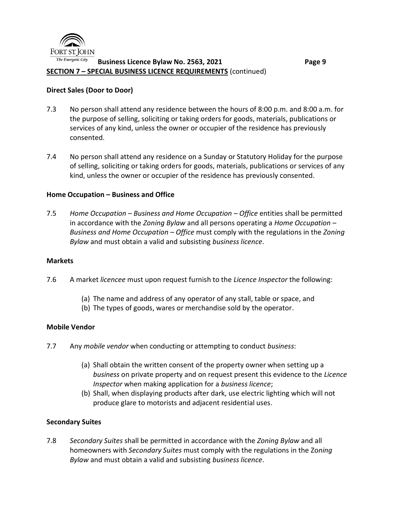

#### The Energetic City **Business Licence Bylaw No. 2563, 2021 Page 9 SECTION 7 – SPECIAL BUSINESS LICENCE REQUIREMENTS** (continued)

#### **Direct Sales (Door to Door)**

- 7.3 No person shall attend any residence between the hours of 8:00 p.m. and 8:00 a.m. for the purpose of selling, soliciting or taking orders for goods, materials, publications or services of any kind, unless the owner or occupier of the residence has previously consented.
- 7.4 No person shall attend any residence on a Sunday or Statutory Holiday for the purpose of selling, soliciting or taking orders for goods, materials, publications or services of any kind, unless the owner or occupier of the residence has previously consented.

#### **Home Occupation – Business and Office**

7.5 *Home Occupation – Business and Home Occupation – Office* entities shall be permitted in accordance with the *Zoning Bylaw* and all persons operating a *Home Occupation – Business and Home Occupation – Office* must comply with the regulations in the *Zoning Bylaw* and must obtain a valid and subsisting *business licence*.

#### **Markets**

- 7.6 A market *licencee* must upon request furnish to the *Licence Inspector* the following:
	- (a) The name and address of any operator of any stall, table or space, and
	- (b) The types of goods, wares or merchandise sold by the operator.

#### **Mobile Vendor**

- 7.7 Any *mobile vendor* when conducting or attempting to conduct *business*:
	- (a) Shall obtain the written consent of the property owner when setting up a *business* on private property and on request present this evidence to the *Licence Inspector* when making application for a *business licence*;
	- (b) Shall, when displaying products after dark, use electric lighting which will not produce glare to motorists and adjacent residential uses.

#### **Secondary Suites**

7.8 *Secondary Suites* shall be permitted in accordance with the *Zoning Bylaw* and all homeowners with *Secondary Suites* must comply with the regulations in the Zo*ning Bylaw* and must obtain a valid and subsisting *business licence*.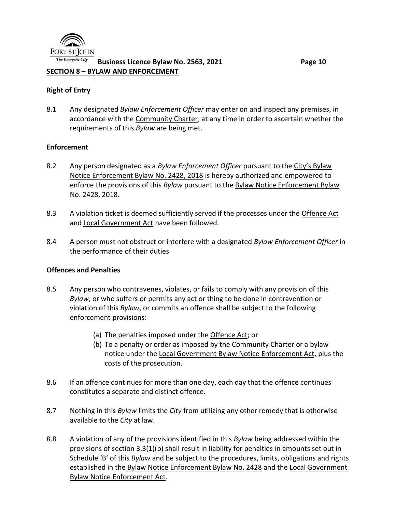

#### The Energetic City **Business Licence Bylaw No. 2563, 2021 Page 10 SECTION 8 – BYLAW AND ENFORCEMENT**

#### **Right of Entry**

8.1 Any designated *Bylaw Enforcement Officer* may enter on and inspect any premises, in accordance with the Community Charter, at any time in order to ascertain whether the requirements of this *Bylaw* are being met.

#### **Enforcement**

- 8.2 Any person designated as a *Bylaw Enforcement Officer* pursuant to the City's Bylaw Notice Enforcement Bylaw No. 2428, 2018 is hereby authorized and empowered to enforce the provisions of this *Bylaw* pursuant to the Bylaw Notice Enforcement Bylaw No. 2428, 2018.
- 8.3 A violation ticket is deemed sufficiently served if the processes under the Offence Act and Local Government Act have been followed.
- 8.4 A person must not obstruct or interfere with a designated *Bylaw Enforcement Officer* in the performance of their duties

#### **Offences and Penalties**

- 8.5 Any person who contravenes, violates, or fails to comply with any provision of this *Bylaw*, or who suffers or permits any act or thing to be done in contravention or violation of this *Bylaw*, or commits an offence shall be subject to the following enforcement provisions:
	- (a) The penalties imposed under the Offence Act; or
	- (b) To a penalty or order as imposed by the Community Charter or a bylaw notice under the Local Government Bylaw Notice Enforcement Act, plus the costs of the prosecution.
- 8.6 If an offence continues for more than one day, each day that the offence continues constitutes a separate and distinct offence.
- 8.7 Nothing in this *Bylaw* limits the *City* from utilizing any other remedy that is otherwise available to the *City* at law.
- 8.8 A violation of any of the provisions identified in this *Bylaw* being addressed within the provisions of section 3.3(1)(b) shall result in liability for penalties in amounts set out in Schedule 'B' of this *Bylaw* and be subject to the procedures, limits, obligations and rights established in the Bylaw Notice Enforcement Bylaw No. 2428 and the Local Government Bylaw Notice Enforcement Act.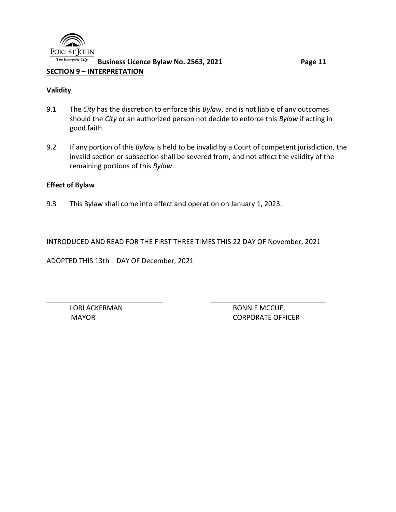

#### The Energetic City **Business Licence Bylaw No. 2563, 2021 Page 11 SECTION 9 – INTERPRETATION**

### **Validity**

- 9.1 The *City* has the discretion to enforce this *Bylaw*, and is not liable of any outcomes should the *City* or an authorized person not decide to enforce this *Bylaw* if acting in good faith.
- 9.2 If any portion of this *Bylaw* is held to be invalid by a Court of competent jurisdiction, the invalid section or subsection shall be severed from, and not affect the validity of the remaining portions of this *Bylaw*.

## **Effect of Bylaw**

9.3 This Bylaw shall come into effect and operation on January 1, 2023.

INTRODUCED AND READ FOR THE FIRST THREE TIMES THIS 22 DAY OF November, 2021

ADOPTED THIS 13th DAY OF December, 2021

LORI ACKERMAN BONNIE MCCUE, MAYOR CORPORATE OFFICER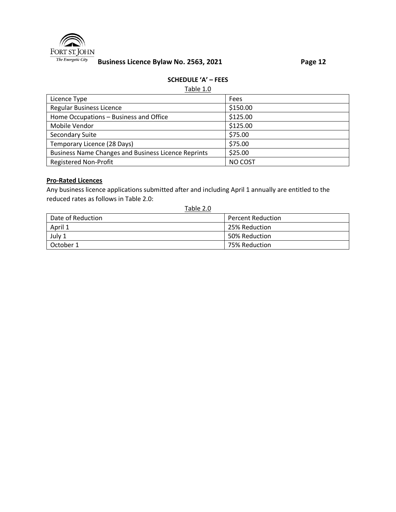

# **Business Licence Bylaw No. 2563, 2021 Page 12**

#### **SCHEDULE 'A' – FEES**

#### Table 1.0

| Licence Type                                               | Fees     |
|------------------------------------------------------------|----------|
| <b>Regular Business Licence</b>                            | \$150.00 |
| Home Occupations - Business and Office                     | \$125.00 |
| Mobile Vendor                                              | \$125.00 |
| Secondary Suite                                            | \$75.00  |
| Temporary Licence (28 Days)                                | \$75.00  |
| <b>Business Name Changes and Business Licence Reprints</b> | \$25.00  |
| <b>Registered Non-Profit</b>                               | NO COST  |

#### **Pro-Rated Licences**

Any business licence applications submitted after and including April 1 annually are entitled to the reduced rates as follows in Table 2.0:

## Table 2.0

| Date of Reduction | <b>Percent Reduction</b> |
|-------------------|--------------------------|
| April 1           | 25% Reduction            |
| July 1            | 50% Reduction            |
| October 1         | 75% Reduction            |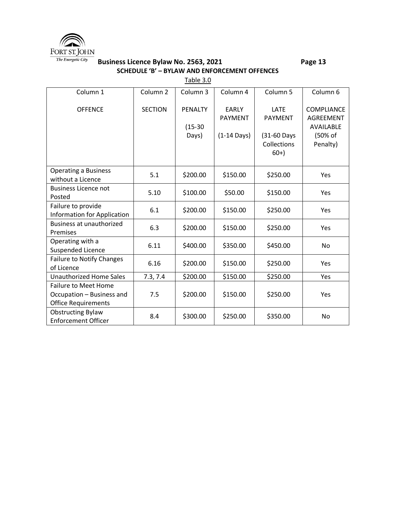

### **Business Licence Bylaw No. 2563, 2021 Page 13 SCHEDULE 'B' – BYLAW AND ENFORCEMENT OFFENCES**

Table 3.0

| Column 1                                                                               | Column <sub>2</sub> | Column 3                             | Column 4                                                | Column 5                                                             | Column 6                                                           |
|----------------------------------------------------------------------------------------|---------------------|--------------------------------------|---------------------------------------------------------|----------------------------------------------------------------------|--------------------------------------------------------------------|
| <b>OFFENCE</b>                                                                         | <b>SECTION</b>      | <b>PENALTY</b><br>$(15-30)$<br>Days) | <b>EARLY</b><br><b>PAYMENT</b><br>$(1-14 \text{ Days})$ | <b>LATE</b><br><b>PAYMENT</b><br>(31-60 Days<br>Collections<br>$60+$ | <b>COMPLIANCE</b><br>AGREEMENT<br>AVAILABLE<br>(50% of<br>Penalty) |
| <b>Operating a Business</b><br>without a Licence                                       | 5.1                 | \$200.00                             | \$150.00                                                | \$250.00                                                             | Yes                                                                |
| <b>Business Licence not</b><br>Posted                                                  | 5.10                | \$100.00                             | \$50.00                                                 | \$150.00                                                             | Yes                                                                |
| Failure to provide<br><b>Information for Application</b>                               | 6.1                 | \$200.00                             | \$150.00                                                | \$250.00                                                             | Yes                                                                |
| Business at unauthorized<br>Premises                                                   | 6.3                 | \$200.00                             | \$150.00                                                | \$250.00                                                             | Yes                                                                |
| Operating with a<br>Suspended Licence                                                  | 6.11                | \$400.00                             | \$350.00                                                | \$450.00                                                             | No                                                                 |
| <b>Failure to Notify Changes</b><br>of Licence                                         | 6.16                | \$200.00                             | \$150.00                                                | \$250.00                                                             | Yes                                                                |
| <b>Unauthorized Home Sales</b>                                                         | 7.3, 7.4            | \$200.00                             | \$150.00                                                | \$250.00                                                             | Yes                                                                |
| <b>Failure to Meet Home</b><br>Occupation - Business and<br><b>Office Requirements</b> | 7.5                 | \$200.00                             | \$150.00                                                | \$250.00                                                             | Yes                                                                |
| <b>Obstructing Bylaw</b><br><b>Enforcement Officer</b>                                 | 8.4                 | \$300.00                             | \$250.00                                                | \$350.00                                                             | No                                                                 |